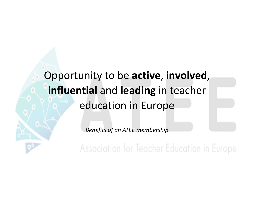#### Opportunity to be active, involved, influential and leading in teacher education in Europe

Benefits of an ATEE membership<br>Association for Teacher Education in Europe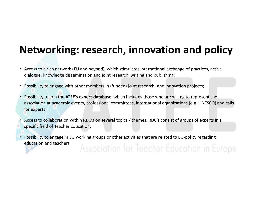#### Networking: research, innovation and policy

- Access to a rich network (EU and beyond), which stimulates international exchange of practices, active
- 
- Networking: research, innovation and policy<br>
Access to a rich network (EU and beyond), which stimulates international exchange of practices, active<br>
dialogue, knowledge dissemination and joint research, writing and publish association at academic events, professional committees, international organizations (e.g. UNESCO) and calls for experts; **Networking: research, innovation and policy**<br>
• Access to a rich network (EU and beyond), which stimulates international exchange of practices, active<br>
dialogue, knowledge dissemination and joint research, writing and pub **Specific field of Teacher Following and the Teacher Constrained Schange of practices, active<br>
dialogue, knowledge dissemination and joint research, writing and publishing;<br>
Possibility to engage with other members in (fun**
- 
- education and teachers.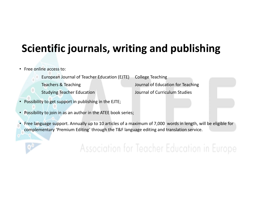#### Scientific journals, writing and publishing

- Free online access to:
	- European Journal of Teacher Education (EJTE) College Teaching
	- Teachers & Teaching Journal of Education for Teaching
	- Studying Teacher Education **Studying Teacher Education** Journal of Curriculum Studies
- Possibility to get support in publishing in the EJTE;
- Possibility to join in as an author in the ATEE book series;
- **Scientific journals, writing and publishing**<br>
 Free online access to:<br>
 European Journal of Teacher Education (EJTE) College Teaching<br>
 Teachers & Teaching<br>
 Studying Teacher Education<br>
 Possibility to get support in Free online access to:<br>
European Journal of Teacher Education (EJTE) College Teaching<br>
Teachers & Teaching<br>
Teachers & Teaching<br>
Studying Teacher Education<br>
Possibility to get support in publishing in the EJTE;<br>
Possibilit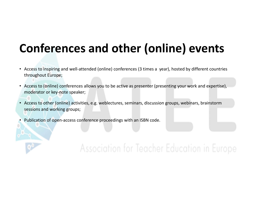## Conferences and other (online) events **Conferences and other (online) events**<br>
• Access to inspiring and well-attended (online) conferences (3 times a year), hosted by different countries<br>
• Access to (online) conferences allows you to be active as presenter (

- throughout Europe;
- Access to (online) conferences allows you to be active as presenter (presenting your work and expertise), moderator or key-note speaker;
- Access to other (online) activities, e.g. weblectures, seminars, discussion groups, webinars, brainstorm sessions and working groups;
- Publication of open-access conference proceedings with an ISBN code.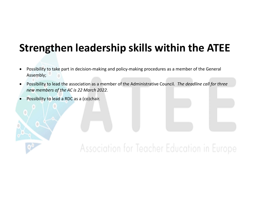## Strengthen leadership skills within the ATEE **Strengthen leadership skills within the ATEE**<br>• Possibility to take part in decision-making and policy-making procedures as a member of the General<br>Assembly;<br>• Possibility to lead the association as a member of the Admini

- Assembly;
- Possibility to lead the association as a member of the Administrative Council. The deadline call for three new members of the AC is 22 March 2022.
- Possibility to lead a RDC as a (co)chair.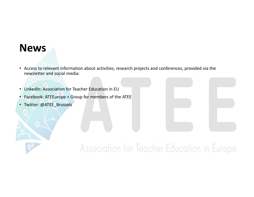#### News

- Access to relevant information about activities, research projects and conferences, provided via the newsletter and social media: • Access to relevant information about activities, research projects and conference<br>newsletter and social media:<br>• LinkedIn: Association for Teacher Education in EU<br>• Facebook: ATEEurope + Group for members of the ATEE<br>• T
- LinkedIn: Association for Teacher Education in EU
- 
- Twitter: @ATEE\_Brussels

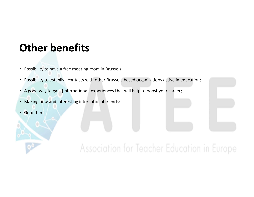# Other benefits<br>• Possibility to have a free meeting room in Brussels;

- Possibility to have a free meeting room in Brussels;
- Possibility to establish contacts with other Brussels-based organizations active in education; **Other benefits**<br>• Possibility to have a free meeting room in Brussels;<br>• A good way to gain (international) experiences that will help to boost your career;<br>• Making new and interesting international friends;<br>• Good fun!
- 
- 
- 

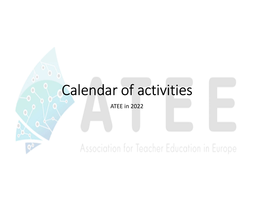### Calendar of activities

ATEE in 2022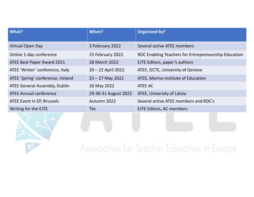| What?                                | When?                | <b>Organized by?</b>                                 |
|--------------------------------------|----------------------|------------------------------------------------------|
| Virtual Open Day                     | 3 February 2022      | Several active ATEE members                          |
| Online 1-day conference              | 25 February 2022     | RDC Enabling Teachers for Entrepreneurship Education |
| ATEE Best Paper Award 2021           | 28 March 2022        | EJTE Editors, paper's authors                        |
| ATEE 'Winter' conference, Italy      | 20 - 22 April 2022   | ATEE, GCTE, University of Genova                     |
| ATEE 'Spring' conference, Ireland    | $25 - 27$ May 2022   | ATEE, Marino Institute of Education                  |
| <b>ATEE General Assembly, Dublin</b> | 26 May 2022          | ATEE AC                                              |
| <b>ATEE Annual conference</b>        | 29-30-31 August 2022 | ATEE, University of Latvia                           |
| ATEE Event in EP, Brussels           | Autumn 2022          | Several active ATEE members and RDC's                |
| Writing for the EJTE                 | Tbc                  | EJTE Editors, AC members                             |
|                                      |                      |                                                      |